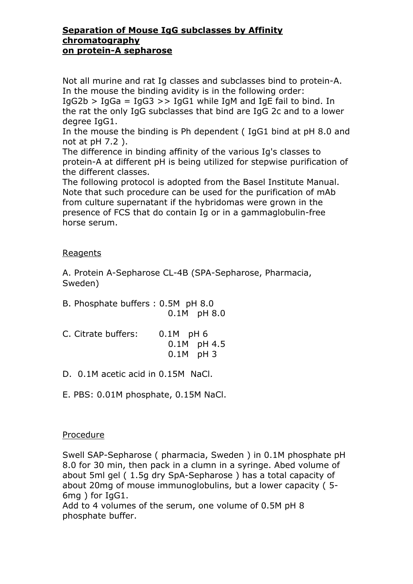## **Separation of Mouse IgG subclasses by Affinity chromatography on protein-A sepharose**

Not all murine and rat Ig classes and subclasses bind to protein-A. In the mouse the binding avidity is in the following order:  $IqG2b > IqGa = IqG3 >> IqG1$  while IqM and IqE fail to bind. In

the rat the only IgG subclasses that bind are IgG 2c and to a lower degree IgG1.

In the mouse the binding is Ph dependent ( IgG1 bind at pH 8.0 and not at pH 7.2 ).

The difference in binding affinity of the various Ig's classes to protein-A at different pH is being utilized for stepwise purification of the different classes.

The following protocol is adopted from the Basel Institute Manual. Note that such procedure can be used for the purification of mAb from culture supernatant if the hybridomas were grown in the presence of FCS that do contain Ig or in a gammaglobulin-free horse serum.

## Reagents

A. Protein A-Sepharose CL-4B (SPA-Sepharose, Pharmacia, Sweden)

- B. Phosphate buffers : 0.5M pH 8.0 0.1M pH 8.0
- C. Citrate buffers: 0.1M pH 6 0.1M pH 4.5 0.1M pH 3
- D. 0.1M acetic acid in 0.15M NaCl.
- E. PBS: 0.01M phosphate, 0.15M NaCl.

## Procedure

Swell SAP-Sepharose ( pharmacia, Sweden ) in 0.1M phosphate pH 8.0 for 30 min, then pack in a clumn in a syringe. Abed volume of about 5ml gel ( 1.5g dry SpA-Sepharose ) has a total capacity of about 20mg of mouse immunoglobulins, but a lower capacity ( 5- 6mg ) for IgG1.

Add to 4 volumes of the serum, one volume of 0.5M pH 8 phosphate buffer.